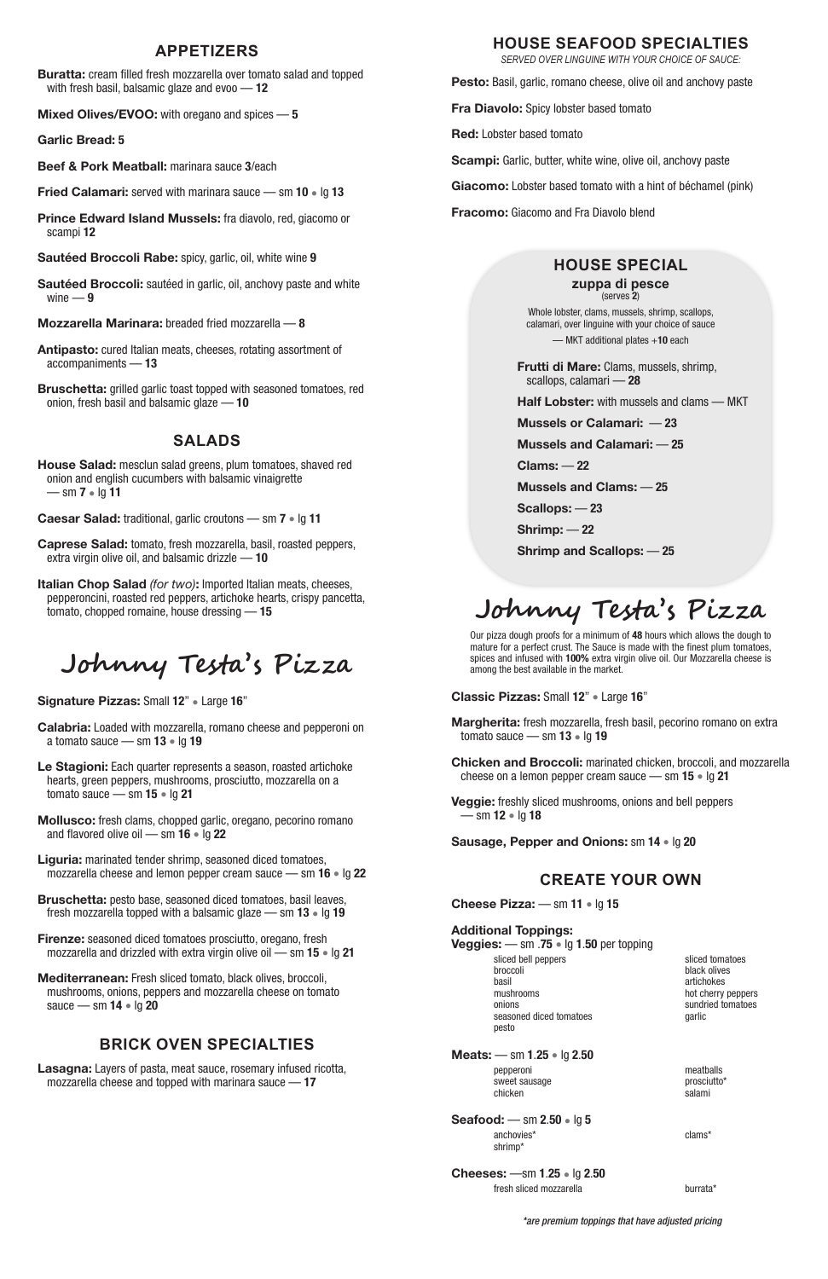### **APPETIZERS**

**Buratta:** cream filled fresh mozzarella over tomato salad and topped with fresh basil, balsamic glaze and evoo — **12**

**Mixed Olives/EVOO:** with oregano and spices — **5**

**Garlic Bread: 5**

**Sautéed Broccoli:** sautéed in garlic, oil, anchovy paste and white wine  $-9$ 

**Beef & Pork Meatball:** marinara sauce **3**/each

**Fried Calamari:** served with marinara sauce — sm **10** • lg **13**

**Prince Edward Island Mussels:** fra diavolo, red, giacomo or scampi **12**

**Sautéed Broccoli Rabe:** spicy, garlic, oil, white wine **9**

**Mozzarella Marinara:** breaded fried mozzarella — **8**

**Antipasto:** cured Italian meats, cheeses, rotating assortment of accompaniments — **13**

**Bruschetta:** grilled garlic toast topped with seasoned tomatoes, red onion, fresh basil and balsamic glaze — **10**

# **SALADS**

**House Salad:** mesclun salad greens, plum tomatoes, shaved red onion and english cucumbers with balsamic vinaigrette — sm **7** • lg **11**

**Caesar Salad:** traditional, garlic croutons — sm **7** • lg **11**

**Caprese Salad:** tomato, fresh mozzarella, basil, roasted peppers, extra virgin olive oil, and balsamic drizzle — **10**

**Italian Chop Salad** *(for two)***:** Imported Italian meats, cheeses, pepperoncini, roasted red peppers, artichoke hearts, crispy pancetta, tomato, chopped romaine, house dressing — **15**

# **Johnny Testa's Pizza**

**Signature Pizzas:** Small **12**" • Large **16**"

**Calabria:** Loaded with mozzarella, romano cheese and pepperoni on a tomato sauce — sm **13** • lg **19**

**Le Stagioni:** Each quarter represents a season, roasted artichoke hearts, green peppers, mushrooms, prosciutto, mozzarella on a tomato sauce — sm **15** • lg **21**

**Mollusco:** fresh clams, chopped garlic, oregano, pecorino romano and flavored olive oil — sm **16** • lg **22**

**Liguria:** marinated tender shrimp, seasoned diced tomatoes, mozzarella cheese and lemon pepper cream sauce — sm **16** • lg **22**

**Bruschetta:** pesto base, seasoned diced tomatoes, basil leaves, fresh mozzarella topped with a balsamic glaze — sm **13** • lg **19**

**Firenze:** seasoned diced tomatoes prosciutto, oregano, fresh

mozzarella and drizzled with extra virgin olive oil — sm **15** • lg **21**

**Mediterranean:** Fresh sliced tomato, black olives, broccoli, mushrooms, onions, peppers and mozzarella cheese on tomato sauce — sm **14** • lg **20**

> **Cheeses:** —sm **1**.**25** • lg **2**.**50** fresh sliced mozzarella burrata\*

# **BRICK OVEN SPECIALTIES**

**Lasagna:** Layers of pasta, meat sauce, rosemary infused ricotta, mozzarella cheese and topped with marinara sauce — **17**

### **HOUSE SEAFOOD SPECIALTIES**

*SERVED OVER LINGUINE WITH YOUR CHOICE OF SAUCE:*

**Pesto:** Basil, garlic, romano cheese, olive oil and anchovy paste

**Fra Diavolo:** Spicy lobster based tomato

**Red:** Lobster based tomato

**Scampi:** Garlic, butter, white wine, olive oil, anchovy paste

**Giacomo:** Lobster based tomato with a hint of béchamel (pink)

**Fracomo:** Giacomo and Fra Diavolo blend

# **HOUSE SPECIAL**

#### **zuppa di pesce** (serves **2**)

Whole lobster, clams, mussels, shrimp, scallops, calamari, over linguine with your choice of sauce

— MKT additional plates +**10** each

**Frutti di Mare:** Clams, mussels, shrimp, scallops, calamari — **28**

**Half Lobster:** with mussels and clams — MKT

**Mussels or Calamari:** — **23**

**Mussels and Calamari:** — **25**

**Clams:** — **22**

**Mussels and Clams:** — **25**

**Scallops:** — **23**

**Shrimp:** — **22**

**Shrimp and Scallops:** — **25**

# **Johnny Testa's Pizza**

Our pizza dough proofs for a minimum of **48** hours which allows the dough to mature for a perfect crust. The Sauce is made with the finest plum tomatoes, spices and infused with **100%** extra virgin olive oil. Our Mozzarella cheese is among the best available in the market.

**Classic Pizzas:** Small **12**" • Large **16**"

**Margherita:** fresh mozzarella, fresh basil, pecorino romano on extra tomato sauce — sm **13** • lg **19**

**Chicken and Broccoli:** marinated chicken, broccoli, and mozzarella cheese on a lemon pepper cream sauce — sm **15** • lg **21**

**Veggie:** freshly sliced mushrooms, onions and bell peppers — sm **12** • lg **18**

**Sausage, Pepper and Onions:** sm **14** • lg **20**

# **CREATE YOUR OWN**

**Cheese Pizza:** — sm **11** • lg **15**

**Additional Toppings:**

#### **Veggies:** — sm .**75** • lg **1**.**50** per topping

sliced bell peppers broccoli basil mushrooms onions seasoned diced tomatoes pesto

sliced tomatoes black olives artichokes hot cherry peppers sundried tomatoes garlic

**Meats:** — sm **1**.**25** • lg **2**.**50** pepperoni sweet sausage

chicken

meatballs prosciutto\* salami

**Seafood:** — sm **2**.**50** • lg **5** anchovies\* shrimp\*

clams\*

 *\*are premium toppings that have adjusted pricing*